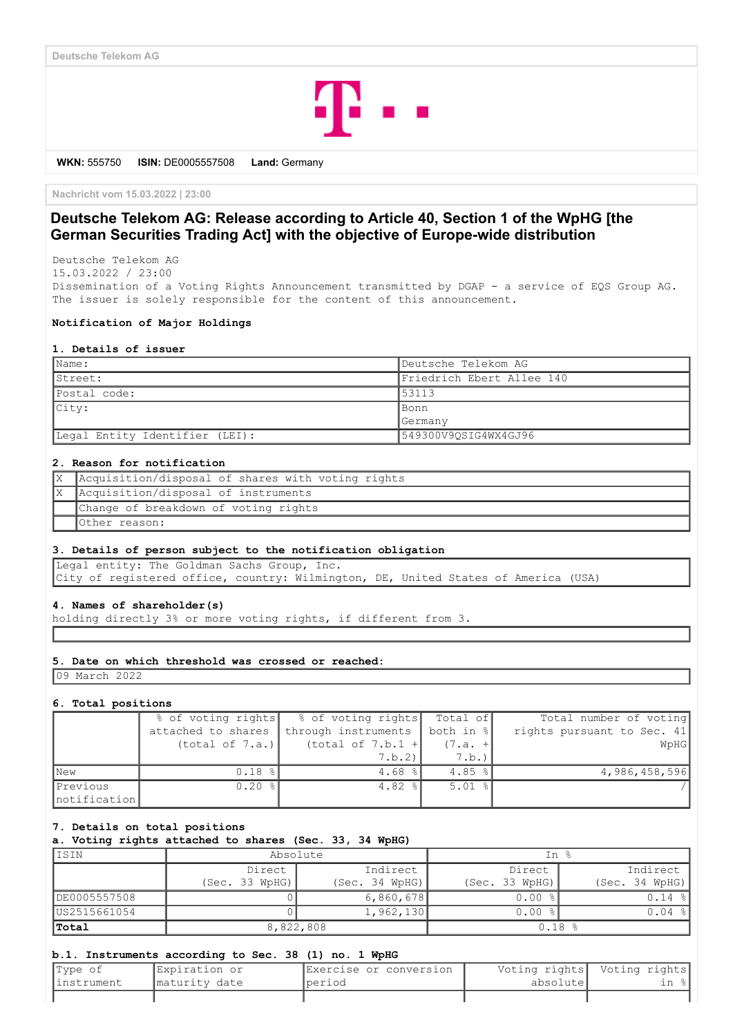

**WKN:** 555750 **ISIN:** DE0005557508 **Land:** Germany

**Nachricht vom 15.03.2022 | 23:00**

# **Deutsche Telekom AG: Release according to Article 40, Section 1 of the WpHG [the German Securities Trading Act] with the objective of Europe-wide distribution**

Deutsche Telekom AG 15.03.2022 / 23:00

Dissemination of a Voting Rights Announcement transmitted by DGAP - a service of EQS Group AG. The issuer is solely responsible for the content of this announcement.

## **Notification of Major Holdings**

#### **1. Details of issuer**

| Name:                          | Deutsche Telekom AG       |  |
|--------------------------------|---------------------------|--|
| Street:                        | Friedrich Ebert Allee 140 |  |
| Postal code:                   | 53113                     |  |
| City:                          | Bonn                      |  |
|                                | Germany                   |  |
| Legal Entity Identifier (LEI): | 549300V9OSIG4WX4GJ96      |  |

### **2. Reason for notification**

| X Acquisition/disposal of shares with voting rights |
|-----------------------------------------------------|
| X Acquisition/disposal of instruments               |
| Change of breakdown of voting rights                |
| Other reason:                                       |

#### **3. Details of person subject to the notification obligation**

Legal entity: The Goldman Sachs Group, Inc. City of registered office, country: Wilmington, DE, United States of America (USA)

### **4. Names of shareholder(s)**

holding directly 3% or more voting rights, if different from 3.

#### **5. Date on which threshold was crossed or reached:**

09 March 2022

### **6. Total positions**

|              | % of voting rights | % of voting rights  | Total of  | Total number of voting     |
|--------------|--------------------|---------------------|-----------|----------------------------|
|              | attached to shares | through instruments | both in % | rights pursuant to Sec. 41 |
|              | (total of 7.a.)    | (total of 7.b.1 +   | $(7.a. +$ | WpHG                       |
|              |                    | 7.b.2               | 7.b.)     |                            |
| <b>New</b>   | 0.18%              | $4.68$ %            | $4.85$ %  | 4,986,458,596              |
| Previous     | $0.20$ %           | $4.82$ %            | $5.01$ %  |                            |
| notification |                    |                     |           |                            |

#### **7. Details on total positions**

**a. Voting rights attached to shares (Sec. 33, 34 WpHG)**

| IISIN        | Absolute           |                | In %           |                |  |
|--------------|--------------------|----------------|----------------|----------------|--|
|              | Indirect<br>Direct |                | Direct         | Indirect       |  |
|              | (Sec. 33 WpHG)     | (Sec. 34 WPHG) | (Sec. 33 WpHG) | (Sec. 34 WpHG) |  |
| DE0005557508 |                    | 6,860,678      | $0.00$ %       | $0.14$ %       |  |
| US2515661054 |                    | 1,962,130      | $0.00$ %       | $0.04$ %       |  |
| Total        | 8,822,808          |                | 0.18%          |                |  |

### **b.1. Instruments according to Sec. 38 (1) no. 1 WpHG**

| Type of     | Expiration or  | IExercise or conversion |           | Voting rights  Voting rights |
|-------------|----------------|-------------------------|-----------|------------------------------|
| linstrument | Imaturity date | Iperiod                 | absolutel | ın :                         |
|             |                |                         |           |                              |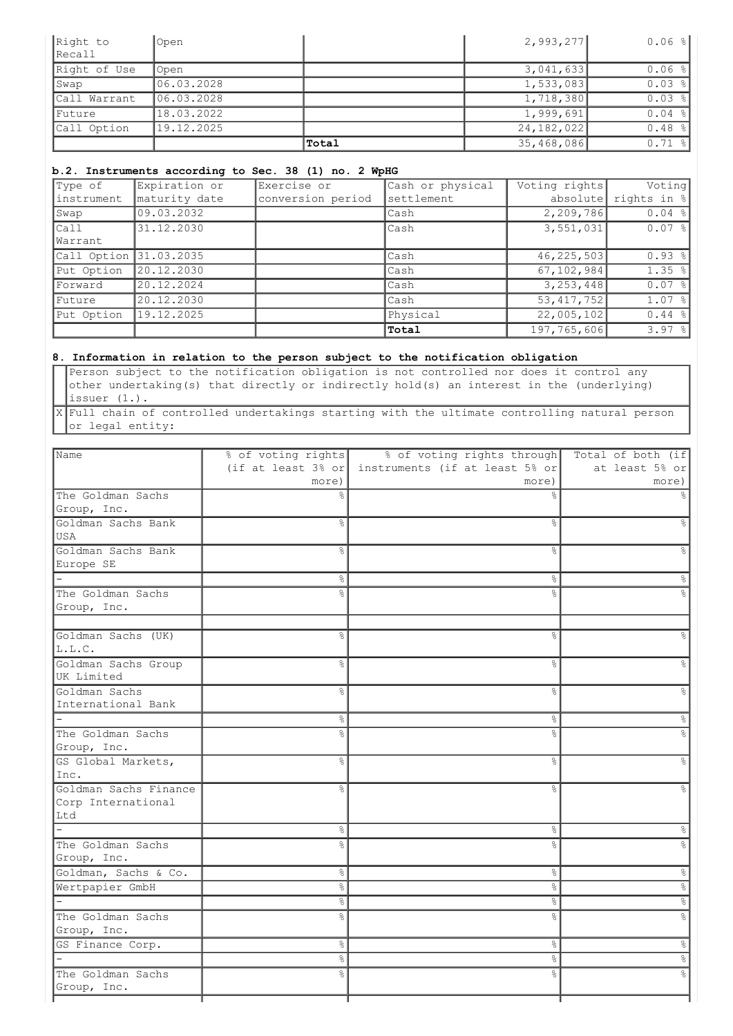| Right to     | Open        |       | 2,993,277    | $0.06$ $  $ |
|--------------|-------------|-------|--------------|-------------|
| Recall       |             |       |              |             |
| Right of Use | Open        |       | 3,041,633    | $0.06$ %    |
| Swap         | 106.03.2028 |       | 1,533,083    | $0.03$ %    |
| Call Warrant | 06.03.2028  |       | 1,718,380    | $0.03$ %    |
| Future       | 18.03.2022  |       | 1,999,691    | $0.04$ %    |
| Call Option  | 19.12.2025  |       | 24, 182, 022 | $0.48$ %    |
|              |             | Total | 35,468,086   | $0.71$ $  $ |

## **b.2. Instruments according to Sec. 38 (1) no. 2 WpHG**

| Type of                | Expiration or | Exercise or       | Cash or physical | Voting rights | Voting      |
|------------------------|---------------|-------------------|------------------|---------------|-------------|
| linstrument            | maturity date | conversion period | settlement       | absolute      | rights in % |
| Swap                   | 09.03.2032    |                   | Cash             | 2,209,786     | $0.04$ %    |
| Call                   | 31.12.2030    |                   | Cash             | 3,551,031     | $0.07$ %    |
| Warrant                |               |                   |                  |               |             |
| Call Option 31.03.2035 |               |                   | Cash             | 46, 225, 503  | $0.93$ %    |
| Put Option             | 20.12.2030    |                   | Cash             | 67, 102, 984  | $1.35$ $ $  |
| Forward                | 20.12.2024    |                   | Cash             | 3,253,448     | $0.07$ %    |
| Future                 | 20.12.2030    |                   | Cash             | 53, 417, 752  | $1.07$ $ $  |
| Put Option             | 19.12.2025    |                   | Physical         | 22,005,102    | $0.44$ %    |
|                        |               |                   | Total            | 197,765,606   | $3.97$ %    |

## **8. Information in relation to the person subject to the notification obligation**

Person subject to the notification obligation is not controlled nor does it control any other undertaking(s) that directly or indirectly hold(s) an interest in the (underlying) issuer (1.).

X Full chain of controlled undertakings starting with the ultimate controlling natural person or legal entity:

| Name                  | % of voting rights             | % of voting rights through     | Total of both (if |
|-----------------------|--------------------------------|--------------------------------|-------------------|
|                       | (if at least $3\frac{8}{3}$ or | instruments (if at least 5% or | at least 5% or    |
|                       | more)                          | more)                          | more)             |
| The Goldman Sachs     |                                |                                |                   |
| Group, Inc.           |                                |                                |                   |
| Goldman Sachs Bank    | $\frac{6}{2}$                  | $\frac{6}{2}$                  | ٩,                |
| lusa                  |                                |                                |                   |
| Goldman Sachs Bank    | ⊱                              | &                              | &                 |
| Europe SE             |                                |                                |                   |
|                       | 옹                              | &                              | ိဝ                |
| The Goldman Sachs     | g.                             | g<br>6                         |                   |
| Group, Inc.           |                                |                                |                   |
| Goldman Sachs (UK)    | $\frac{6}{2}$                  | $\frac{6}{5}$                  | ۹Ś                |
| L.L.C.                |                                |                                |                   |
| Goldman Sachs Group   | န္                             | $\frac{6}{6}$                  | $\frac{6}{5}$     |
| UK Limited            |                                |                                |                   |
| Goldman Sachs         | $\frac{6}{2}$                  | g<br>6                         | $\frac{6}{5}$     |
| International Bank    |                                |                                |                   |
|                       | $\frac{6}{5}$                  | $\%$                           | $\frac{6}{5}$     |
| The Goldman Sachs     | 응                              | $\frac{6}{10}$                 | ٩,                |
| Group, Inc.           |                                |                                |                   |
| GS Global Markets,    | $\frac{6}{2}$                  | $\frac{6}{10}$                 | $\frac{6}{5}$     |
| Inc.                  |                                |                                |                   |
| Goldman Sachs Finance | $\approx$                      | $\frac{1}{2}$                  | $\approx$         |
| Corp International    |                                |                                |                   |
| Ltd                   |                                |                                |                   |
|                       | 옹                              | s,                             | $\epsilon$        |
| The Goldman Sachs     | $\%$                           | ိဝ                             | e<br>8            |
| Group, Inc.           |                                |                                |                   |
| Goldman, Sachs & Co.  | $\frac{6}{6}$                  | $\%$                           | $\%$              |
| Wertpapier GmbH       | $\frac{6}{5}$                  | $\%$                           | $\%$              |
|                       | $\%$                           | $\%$                           | $\infty$          |
| The Goldman Sachs     | $\frac{6}{6}$                  | $\frac{6}{5}$                  | $\%$              |
| Group, Inc.           |                                |                                |                   |
| GS Finance Corp.      | $\frac{6}{6}$                  | °                              | $\frac{8}{6}$     |
|                       | 옹                              | g.                             | $\%$              |
| The Goldman Sachs     | ٩,                             | ٥Ŗ                             | e<br>8            |
| Group, Inc.           |                                |                                |                   |
|                       |                                |                                |                   |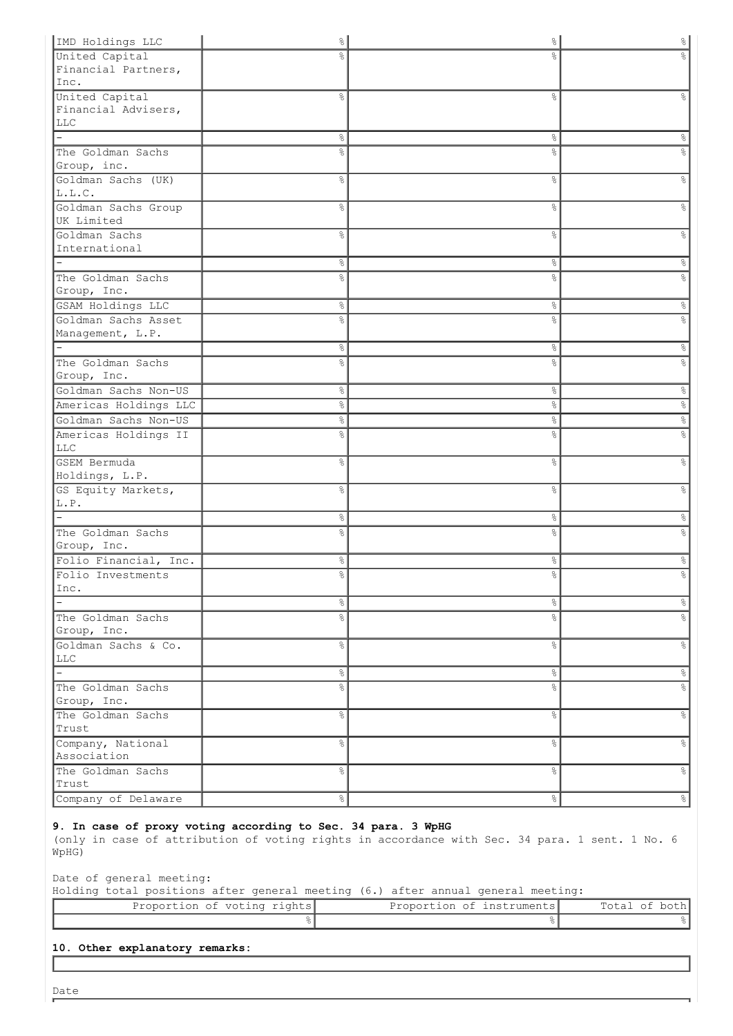| IMD Holdings LLC                  | $\frac{1}{\sqrt{2}}$ | $\frac{8}{3}$  | $\frac{8}{6}$ |
|-----------------------------------|----------------------|----------------|---------------|
| United Capital                    |                      | $\frac{9}{2}$  |               |
| Financial Partners,               |                      |                |               |
| Inc.                              |                      |                |               |
| United Capital                    | နွ                   | &              | ⊱             |
| Financial Advisers,               |                      |                |               |
| <b>LLC</b>                        |                      |                |               |
|                                   | 옹                    | $\%$           | န္            |
| The Goldman Sachs                 | o.                   | 응              | e<br>8        |
| Group, inc.<br>Goldman Sachs (UK) | $\%$                 | $\frac{6}{6}$  | g.            |
| L.L.C.                            |                      |                |               |
| Goldman Sachs Group               | နွ                   | $\%$           | g.            |
| UK Limited                        |                      |                |               |
| Goldman Sachs                     | ိင                   | $\frac{6}{6}$  | 옹             |
| International                     |                      |                |               |
|                                   | $\%$                 | $\%$           | $\%$          |
| The Goldman Sachs                 | 옹                    | 응              | e<br>8        |
| Group, Inc.                       |                      |                |               |
| GSAM Holdings LLC                 | $\%$                 | $\%$           | $\%$          |
| Goldman Sachs Asset               | 옹                    | g <sub>o</sub> | &             |
| Management, L.P.                  |                      |                |               |
|                                   | 옹                    | $\frac{8}{6}$  | &             |
| The Goldman Sachs                 | g.                   | $\frac{6}{6}$  | g.            |
| Group, Inc.                       |                      |                |               |
| Goldman Sachs Non-US              | နွ                   | $\frac{8}{6}$  | န္            |
| Americas Holdings LLC             | နွ                   | $\frac{8}{6}$  | 응             |
| Goldman Sachs Non-US              | 옹                    | °              | &             |
| Americas Holdings II              | ွေ                   | $\frac{6}{6}$  | °             |
| <b>LLC</b>                        |                      |                |               |
| GSEM Bermuda                      | နွ                   | $\%$           | °             |
| Holdings, L.P.                    |                      |                |               |
| GS Equity Markets,<br>L.P.        | နွ                   | $\frac{6}{6}$  | °             |
|                                   | နွ                   | $\frac{8}{6}$  |               |
| The Goldman Sachs                 | ⊱                    | g              | ိင<br>e<br>8  |
| Group, Inc.                       |                      |                |               |
| Folio Financial, Inc.             | ိင                   | 응              | ⊱             |
| Folio Investments                 | ွေ                   | g.             | °             |
| Inc.                              |                      |                |               |
| $\sim$                            | &                    | °              | $\frac{1}{6}$ |
| The Goldman Sachs                 | $\%$                 | s,             | $\frac{1}{6}$ |
| Group, Inc.                       |                      |                |               |
| Goldman Sachs & Co.               | $\%$                 | $\%$           | $\infty$      |
| LLC                               |                      |                |               |
| $\frac{1}{2}$                     | $\%$                 | $\%$           | $\frac{1}{6}$ |
| The Goldman Sachs                 | $\%$                 | &              | $\frac{1}{6}$ |
| Group, Inc.                       |                      |                |               |
| The Goldman Sachs                 | &                    | $\%$           | $\frac{6}{6}$ |
| Trust                             |                      |                |               |
| Company, National                 | န္                   | $\%$           | $\frac{8}{6}$ |
| Association                       |                      |                |               |
| The Goldman Sachs                 | $\%$                 | $\%$           | $\infty$      |
| Trust                             |                      |                |               |
| Company of Delaware               | $\%$                 | $\frac{8}{6}$  | $\frac{6}{5}$ |

# **9. In case of proxy voting according to Sec. 34 para. 3 WpHG**

(only in case of attribution of voting rights in accordance with Sec. 34 para. 1 sent. 1 No. 6 WpHG)

Date of general meeting:

Holding total positions after general meeting (6.) after annual general meeting:

| Proportion of voting rights | Proportion of instruments | Total of both |
|-----------------------------|---------------------------|---------------|
|                             |                           |               |

|  |  | 10. Other explanatory remarks: |  |
|--|--|--------------------------------|--|
|--|--|--------------------------------|--|

Date